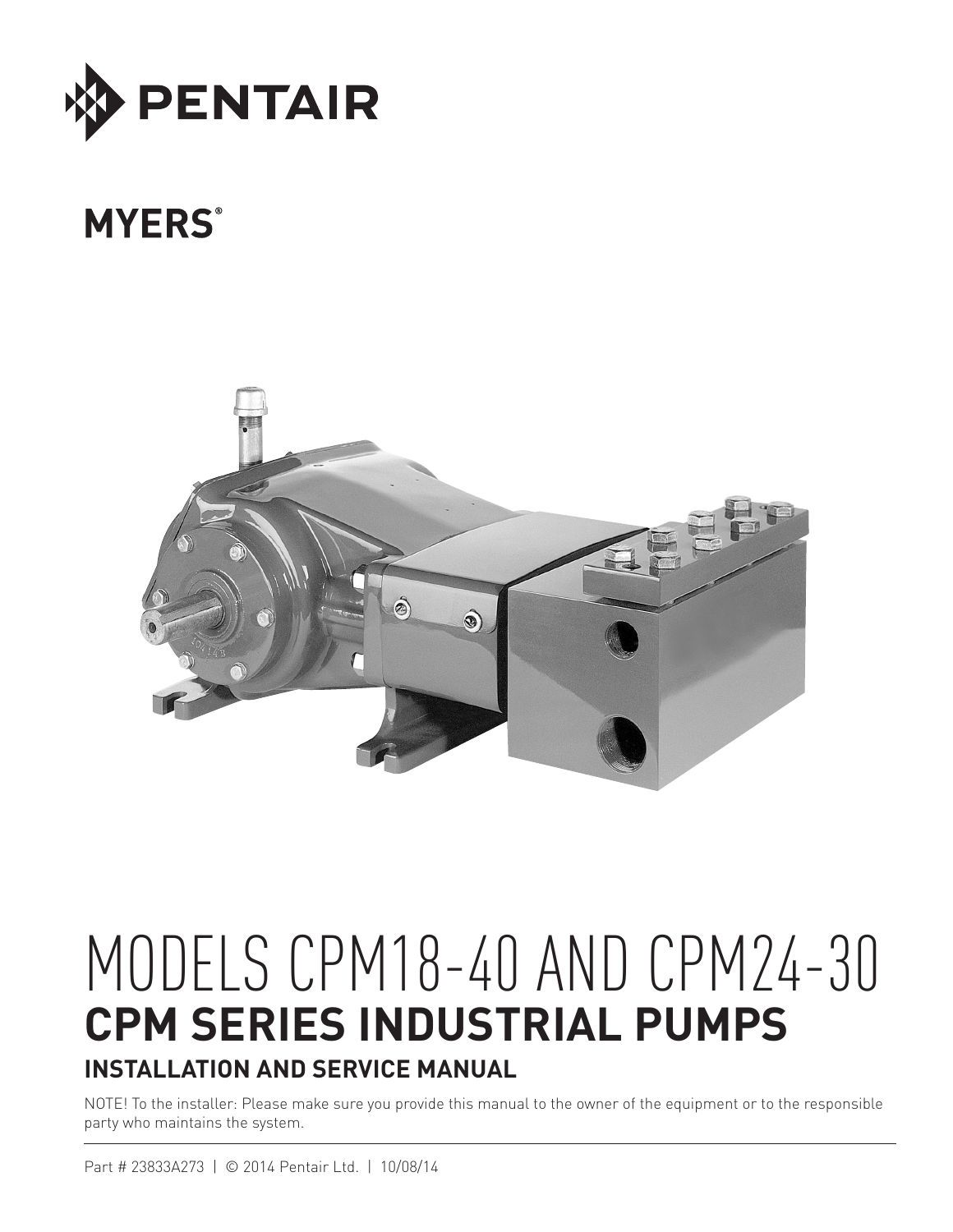

## **MYERS®**



# MODELS CPM18-40 AND CPM24-30 **CPM SERIES INDUSTRIAL PUMPS INSTALLATION AND SERVICE MANUAL**

NOTE! To the installer: Please make sure you provide this manual to the owner of the equipment or to the responsible party who maintains the system.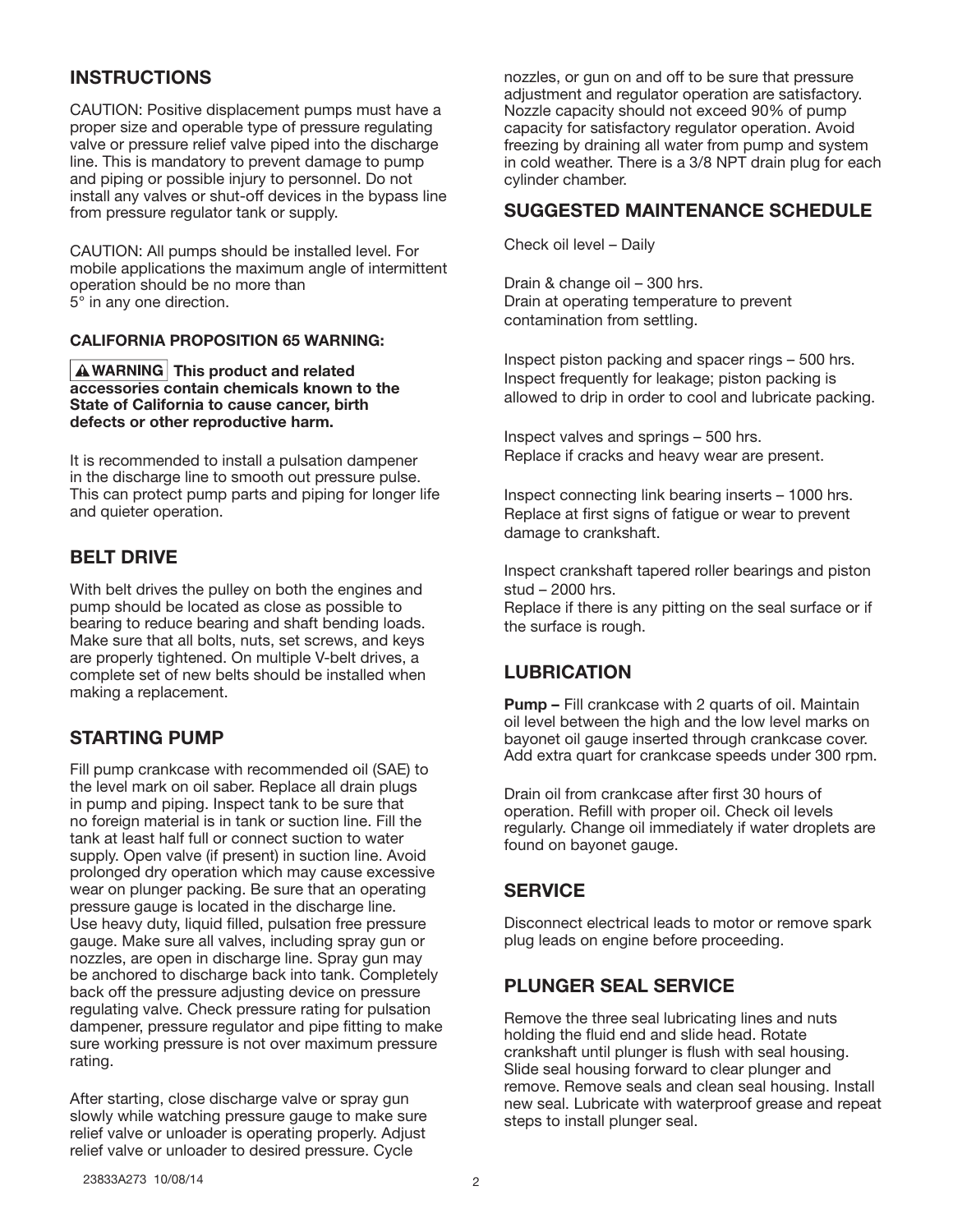#### **INSTRUCTIONS**

CAUTION: Positive displacement pumps must have a proper size and operable type of pressure regulating valve or pressure relief valve piped into the discharge line. This is mandatory to prevent damage to pump and piping or possible injury to personnel. Do not install any valves or shut-off devices in the bypass line from pressure regulator tank or supply.

CAUTION: All pumps should be installed level. For mobile applications the maximum angle of intermittent operation should be no more than 5° in any one direction.

#### **CALIFORNIA PROPOSITION 65 WARNING:**

**A**WARNING This product and related **accessories contain chemicals known to the State of California to cause cancer, birth defects or other reproductive harm.**

It is recommended to install a pulsation dampener in the discharge line to smooth out pressure pulse. This can protect pump parts and piping for longer life and quieter operation.

## **BELT DRIVE**

With belt drives the pulley on both the engines and pump should be located as close as possible to bearing to reduce bearing and shaft bending loads. Make sure that all bolts, nuts, set screws, and keys are properly tightened. On multiple V-belt drives, a complete set of new belts should be installed when making a replacement.

## **STARTING PUMP**

Fill pump crankcase with recommended oil (SAE) to the level mark on oil saber. Replace all drain plugs in pump and piping. Inspect tank to be sure that no foreign material is in tank or suction line. Fill the tank at least half full or connect suction to water supply. Open valve (if present) in suction line. Avoid prolonged dry operation which may cause excessive wear on plunger packing. Be sure that an operating pressure gauge is located in the discharge line. Use heavy duty, liquid filled, pulsation free pressure gauge. Make sure all valves, including spray gun or nozzles, are open in discharge line. Spray gun may be anchored to discharge back into tank. Completely back off the pressure adjusting device on pressure regulating valve. Check pressure rating for pulsation dampener, pressure regulator and pipe fitting to make sure working pressure is not over maximum pressure rating.

After starting, close discharge valve or spray gun slowly while watching pressure gauge to make sure relief valve or unloader is operating properly. Adjust relief valve or unloader to desired pressure. Cycle

nozzles, or gun on and off to be sure that pressure adjustment and regulator operation are satisfactory. Nozzle capacity should not exceed 90% of pump capacity for satisfactory regulator operation. Avoid freezing by draining all water from pump and system in cold weather. There is a 3/8 NPT drain plug for each cylinder chamber.

#### **SUGGESTED MAINTENANCE SCHEDULE**

Check oil level – Daily

Drain & change oil – 300 hrs. Drain at operating temperature to prevent contamination from settling.

Inspect piston packing and spacer rings – 500 hrs. Inspect frequently for leakage; piston packing is allowed to drip in order to cool and lubricate packing.

Inspect valves and springs – 500 hrs. Replace if cracks and heavy wear are present.

Inspect connecting link bearing inserts – 1000 hrs. Replace at first signs of fatigue or wear to prevent damage to crankshaft.

Inspect crankshaft tapered roller bearings and piston stud – 2000 hrs.

Replace if there is any pitting on the seal surface or if the surface is rough.

## **LUBRICATION**

**Pump –** Fill crankcase with 2 quarts of oil. Maintain oil level between the high and the low level marks on bayonet oil gauge inserted through crankcase cover. Add extra quart for crankcase speeds under 300 rpm.

Drain oil from crankcase after first 30 hours of operation. Refill with proper oil. Check oil levels regularly. Change oil immediately if water droplets are found on bayonet gauge.

## **SERVICE**

Disconnect electrical leads to motor or remove spark plug leads on engine before proceeding.

## **PLUNGER SEAL SERVICE**

Remove the three seal lubricating lines and nuts holding the fluid end and slide head. Rotate crankshaft until plunger is flush with seal housing. Slide seal housing forward to clear plunger and remove. Remove seals and clean seal housing. Install new seal. Lubricate with waterproof grease and repeat steps to install plunger seal.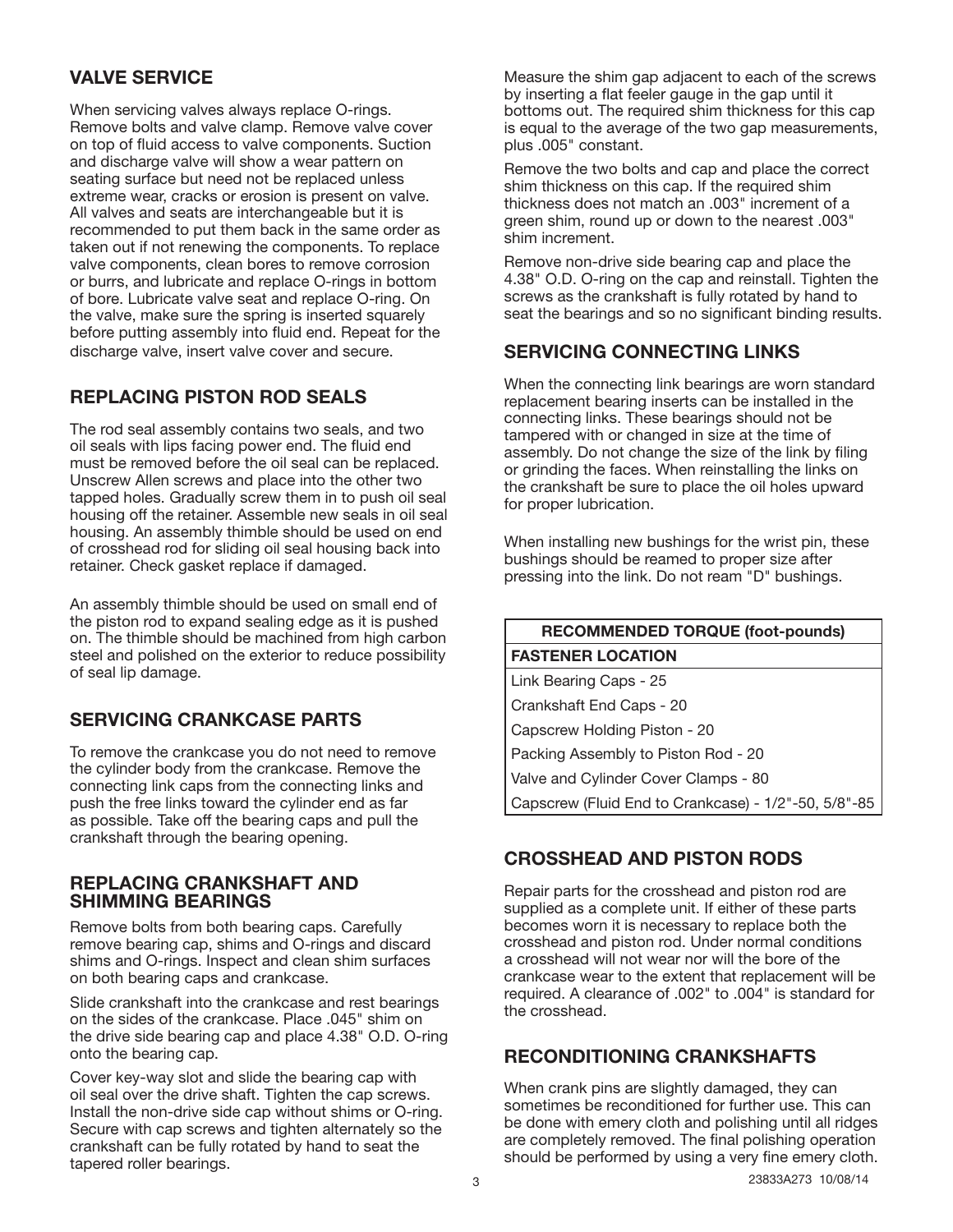## **VALVE SERVICE**

When servicing valves always replace O-rings. Remove bolts and valve clamp. Remove valve cover on top of fluid access to valve components. Suction and discharge valve will show a wear pattern on seating surface but need not be replaced unless extreme wear, cracks or erosion is present on valve. All valves and seats are interchangeable but it is recommended to put them back in the same order as taken out if not renewing the components. To replace valve components, clean bores to remove corrosion or burrs, and lubricate and replace O-rings in bottom of bore. Lubricate valve seat and replace O-ring. On the valve, make sure the spring is inserted squarely before putting assembly into fluid end. Repeat for the discharge valve, insert valve cover and secure.

## **REPLACING PISTON ROD SEALS**

The rod seal assembly contains two seals, and two oil seals with lips facing power end. The fluid end must be removed before the oil seal can be replaced. Unscrew Allen screws and place into the other two tapped holes. Gradually screw them in to push oil seal housing off the retainer. Assemble new seals in oil seal housing. An assembly thimble should be used on end of crosshead rod for sliding oil seal housing back into retainer. Check gasket replace if damaged.

An assembly thimble should be used on small end of the piston rod to expand sealing edge as it is pushed on. The thimble should be machined from high carbon steel and polished on the exterior to reduce possibility of seal lip damage.

## **SERVICING CRANKCASE PARTS**

To remove the crankcase you do not need to remove the cylinder body from the crankcase. Remove the connecting link caps from the connecting links and push the free links toward the cylinder end as far as possible. Take off the bearing caps and pull the crankshaft through the bearing opening.

#### **REPLACING CRANKSHAFT AND SHIMMING BEARINGS**

Remove bolts from both bearing caps. Carefully remove bearing cap, shims and O-rings and discard shims and O-rings. Inspect and clean shim surfaces on both bearing caps and crankcase.

Slide crankshaft into the crankcase and rest bearings on the sides of the crankcase. Place .045" shim on the drive side bearing cap and place 4.38" O.D. O-ring onto the bearing cap.

Cover key-way slot and slide the bearing cap with oil seal over the drive shaft. Tighten the cap screws. Install the non-drive side cap without shims or O-ring. Secure with cap screws and tighten alternately so the crankshaft can be fully rotated by hand to seat the tapered roller bearings.

Measure the shim gap adjacent to each of the screws by inserting a flat feeler gauge in the gap until it bottoms out. The required shim thickness for this cap is equal to the average of the two gap measurements, plus .005" constant.

Remove the two bolts and cap and place the correct shim thickness on this cap. If the required shim thickness does not match an .003" increment of a green shim, round up or down to the nearest .003" shim increment.

Remove non-drive side bearing cap and place the 4.38" O.D. O-ring on the cap and reinstall. Tighten the screws as the crankshaft is fully rotated by hand to seat the bearings and so no significant binding results.

## **SERVICING CONNECTING LINKS**

When the connecting link bearings are worn standard replacement bearing inserts can be installed in the connecting links. These bearings should not be tampered with or changed in size at the time of assembly. Do not change the size of the link by filing or grinding the faces. When reinstalling the links on the crankshaft be sure to place the oil holes upward for proper lubrication.

When installing new bushings for the wrist pin, these bushings should be reamed to proper size after pressing into the link. Do not ream "D" bushings.

#### **RECOMMENDED TORQUE (foot-pounds) FASTENER LOCATION**

Link Bearing Caps - 25 Crankshaft End Caps - 20

Capscrew Holding Piston - 20

Packing Assembly to Piston Rod - 20

Valve and Cylinder Cover Clamps - 80

Capscrew (Fluid End to Crankcase) - 1/2"-50, 5/8"-85

## **CROSSHEAD AND PISTON RODS**

Repair parts for the crosshead and piston rod are supplied as a complete unit. If either of these parts becomes worn it is necessary to replace both the crosshead and piston rod. Under normal conditions a crosshead will not wear nor will the bore of the crankcase wear to the extent that replacement will be required. A clearance of .002" to .004" is standard for the crosshead.

## **RECONDITIONING CRANKSHAFTS**

When crank pins are slightly damaged, they can sometimes be reconditioned for further use. This can be done with emery cloth and polishing until all ridges are completely removed. The final polishing operation should be performed by using a very fine emery cloth.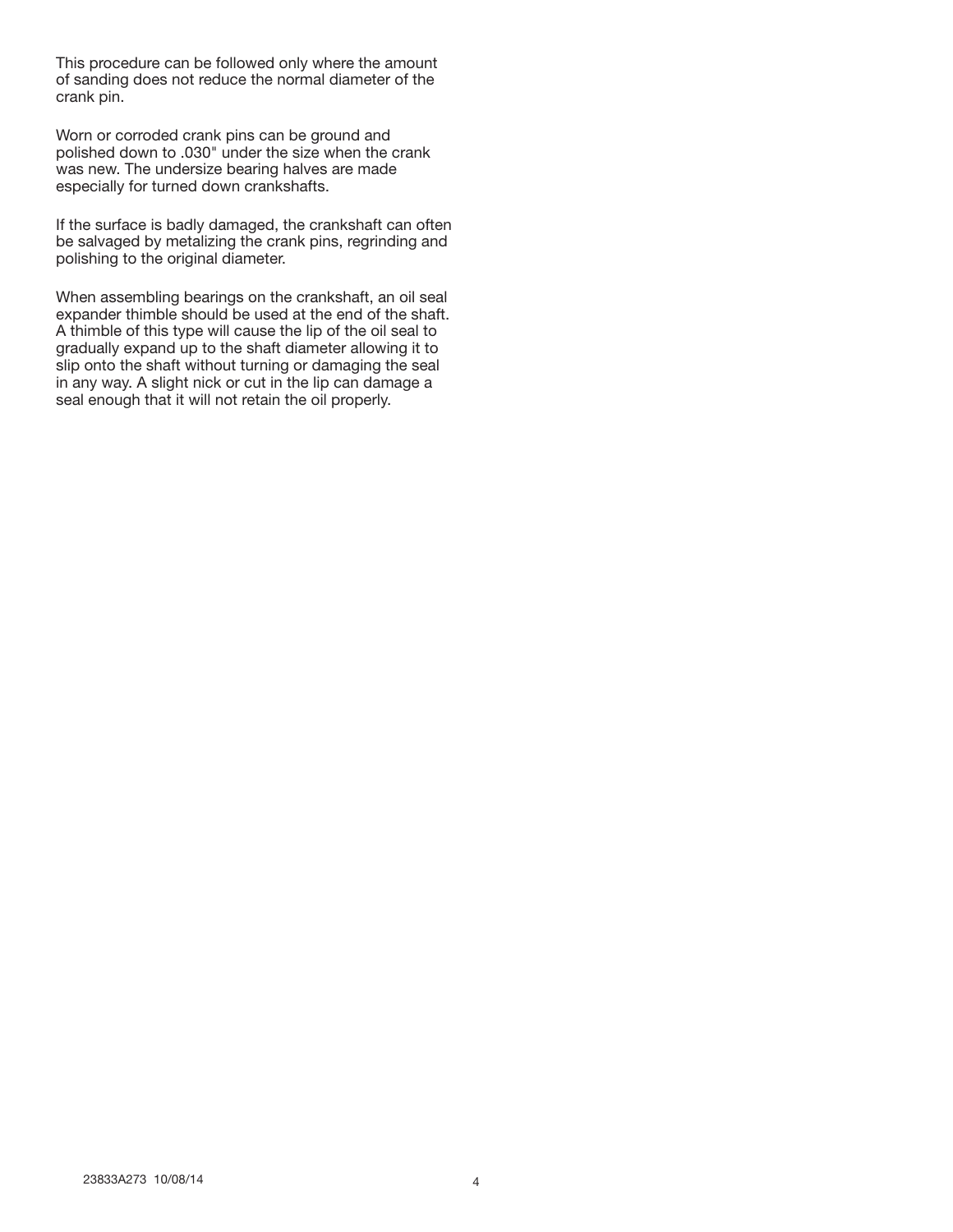This procedure can be followed only where the amount of sanding does not reduce the normal diameter of the crank pin.

Worn or corroded crank pins can be ground and polished down to .030" under the size when the crank was new. The undersize bearing halves are made especially for turned down crankshafts.

If the surface is badly damaged, the crankshaft can often be salvaged by metalizing the crank pins, regrinding and polishing to the original diameter.

When assembling bearings on the crankshaft, an oil seal expander thimble should be used at the end of the shaft. A thimble of this type will cause the lip of the oil seal to gradually expand up to the shaft diameter allowing it to slip onto the shaft without turning or damaging the seal in any way. A slight nick or cut in the lip can damage a seal enough that it will not retain the oil properly.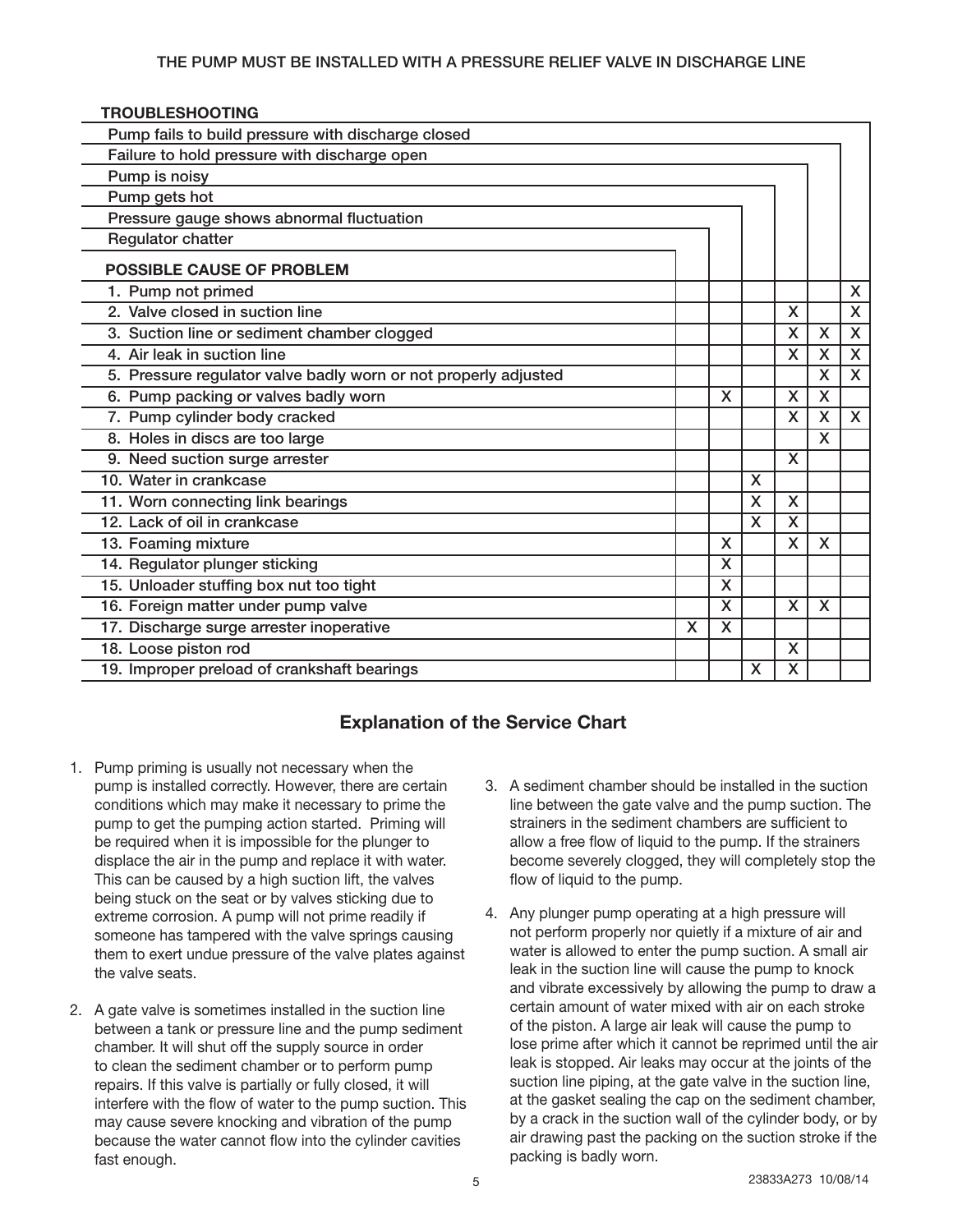| <b>TROUBLESHOOTING</b>                                          |   |   |   |   |              |   |
|-----------------------------------------------------------------|---|---|---|---|--------------|---|
| Pump fails to build pressure with discharge closed              |   |   |   |   |              |   |
| Failure to hold pressure with discharge open                    |   |   |   |   |              |   |
| Pump is noisy                                                   |   |   |   |   |              |   |
| Pump gets hot                                                   |   |   |   |   |              |   |
| Pressure gauge shows abnormal fluctuation                       |   |   |   |   |              |   |
| Regulator chatter                                               |   |   |   |   |              |   |
| <b>POSSIBLE CAUSE OF PROBLEM</b>                                |   |   |   |   |              |   |
| 1. Pump not primed                                              |   |   |   |   |              | X |
| 2. Valve closed in suction line                                 |   |   |   | X |              | X |
| 3. Suction line or sediment chamber clogged                     |   |   |   | X | X            | X |
| 4. Air leak in suction line                                     |   |   |   | X | X            | X |
| 5. Pressure regulator valve badly worn or not properly adjusted |   |   |   |   | X            | X |
| 6. Pump packing or valves badly worn                            |   | X |   | X | X            |   |
| 7. Pump cylinder body cracked                                   |   |   |   | X | X            | X |
| 8. Holes in discs are too large                                 |   |   |   |   | X            |   |
| 9. Need suction surge arrester                                  |   |   |   | X |              |   |
| 10. Water in crankcase                                          |   |   | X |   |              |   |
| 11. Worn connecting link bearings                               |   |   | X | X |              |   |
| 12. Lack of oil in crankcase                                    |   |   | X | X |              |   |
| 13. Foaming mixture                                             |   | X |   | X | X            |   |
| 14. Regulator plunger sticking                                  |   | X |   |   |              |   |
| 15. Unloader stuffing box nut too tight                         |   | X |   |   |              |   |
| 16. Foreign matter under pump valve                             |   | X |   | X | $\mathsf{x}$ |   |
| 17. Discharge surge arrester inoperative                        | X | X |   |   |              |   |
| 18. Loose piston rod                                            |   |   |   | X |              |   |
| 19. Improper preload of crankshaft bearings                     |   |   | X | X |              |   |

## **Explanation of the Service Chart**

- 1. Pump priming is usually not necessary when the pump is installed correctly. However, there are certain conditions which may make it necessary to prime the pump to get the pumping action started. Priming will be required when it is impossible for the plunger to displace the air in the pump and replace it with water. This can be caused by a high suction lift, the valves being stuck on the seat or by valves sticking due to extreme corrosion. A pump will not prime readily if someone has tampered with the valve springs causing them to exert undue pressure of the valve plates against the valve seats.
- 2. A gate valve is sometimes installed in the suction line between a tank or pressure line and the pump sediment chamber. It will shut off the supply source in order to clean the sediment chamber or to perform pump repairs. If this valve is partially or fully closed, it will interfere with the flow of water to the pump suction. This may cause severe knocking and vibration of the pump because the water cannot flow into the cylinder cavities fast enough.
- 3. A sediment chamber should be installed in the suction line between the gate valve and the pump suction. The strainers in the sediment chambers are sufficient to allow a free flow of liquid to the pump. If the strainers become severely clogged, they will completely stop the flow of liquid to the pump.
- 4. Any plunger pump operating at a high pressure will not perform properly nor quietly if a mixture of air and water is allowed to enter the pump suction. A small air leak in the suction line will cause the pump to knock and vibrate excessively by allowing the pump to draw a certain amount of water mixed with air on each stroke of the piston. A large air leak will cause the pump to lose prime after which it cannot be reprimed until the air leak is stopped. Air leaks may occur at the joints of the suction line piping, at the gate valve in the suction line, at the gasket sealing the cap on the sediment chamber, by a crack in the suction wall of the cylinder body, or by air drawing past the packing on the suction stroke if the packing is badly worn.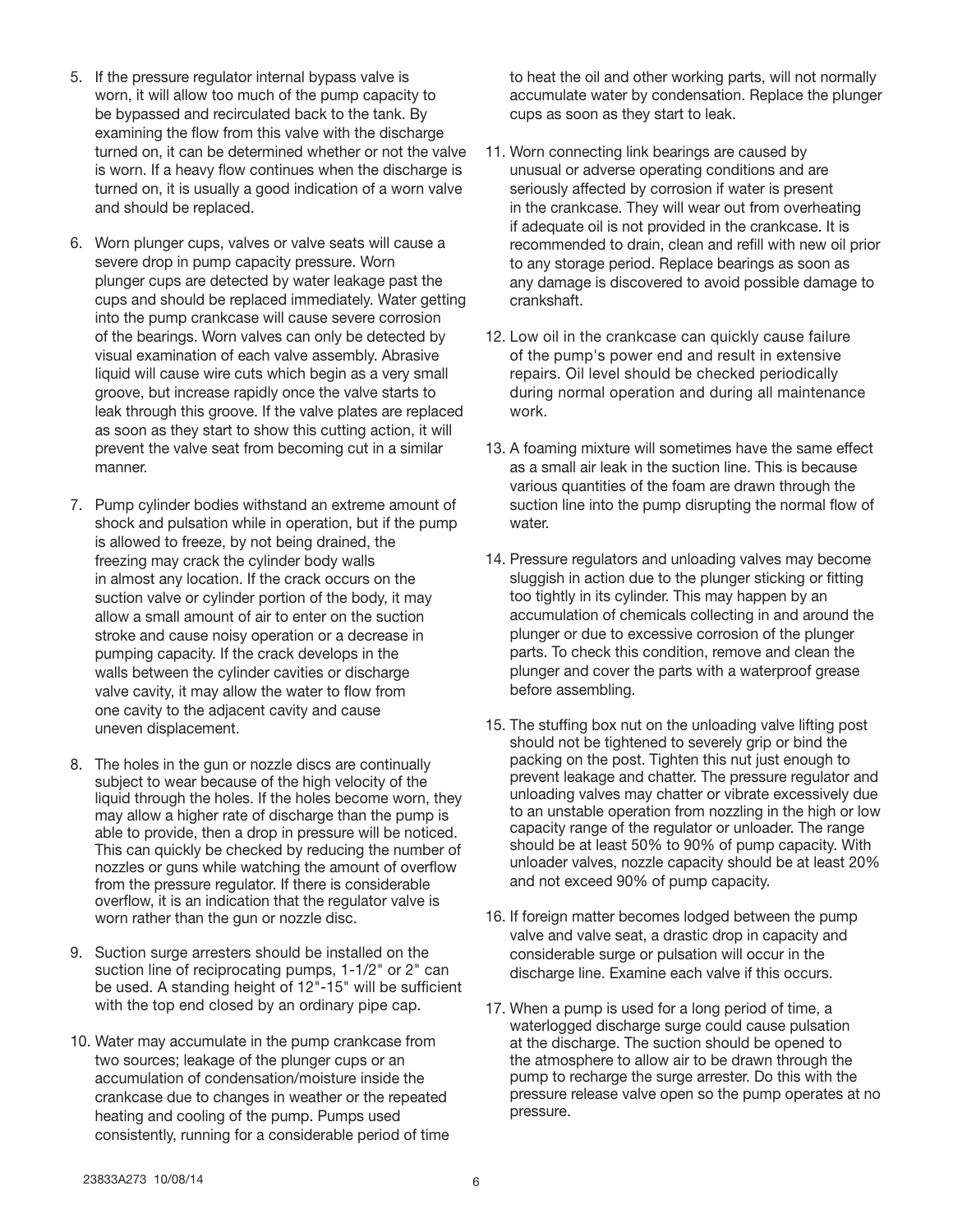- 5. If the pressure regulator internal bypass valve is worn, it will allow too much of the pump capacity to be bypassed and recirculated back to the tank. By examining the flow from this valve with the discharge turned on, it can be determined whether or not the valve is worn. If a heavy flow continues when the discharge is turned on, it is usually a good indication of a worn valve and should be replaced.
- 6. Worn plunger cups, valves or valve seats will cause a severe drop in pump capacity pressure. Worn plunger cups are detected by water leakage past the cups and should be replaced immediately. Water getting into the pump crankcase will cause severe corrosion of the bearings. Worn valves can only be detected by visual examination of each valve assembly. Abrasive liquid will cause wire cuts which begin as a very small groove, but increase rapidly once the valve starts to leak through this groove. If the valve plates are replaced as soon as they start to show this cutting action, it will prevent the valve seat from becoming cut in a similar manner.
- 7. Pump cylinder bodies withstand an extreme amount of shock and pulsation while in operation, but if the pump is allowed to freeze, by not being drained, the freezing may crack the cylinder body walls in almost any location. If the crack occurs on the suction valve or cylinder portion of the body, it may allow a small amount of air to enter on the suction stroke and cause noisy operation or a decrease in pumping capacity. If the crack develops in the walls between the cylinder cavities or discharge valve cavity, it may allow the water to flow from one cavity to the adjacent cavity and cause uneven displacement.
- 8. The holes in the gun or nozzle discs are continually subject to wear because of the high velocity of the liquid through the holes. If the holes become worn, they may allow a higher rate of discharge than the pump is able to provide, then a drop in pressure will be noticed. This can quickly be checked by reducing the number of nozzles or guns while watching the amount of overflow from the pressure regulator. If there is considerable overflow, it is an indication that the regulator valve is worn rather than the gun or nozzle disc.
- 9. Suction surge arresters should be installed on the suction line of reciprocating pumps, 1-1/2" or 2" can be used. A standing height of 12"-15" will be sufficient with the top end closed by an ordinary pipe cap.
- 10. Water may accumulate in the pump crankcase from two sources; leakage of the plunger cups or an accumulation of condensation/moisture inside the crankcase due to changes in weather or the repeated heating and cooling of the pump. Pumps used consistently, running for a considerable period of time

to heat the oil and other working parts, will not normally accumulate water by condensation. Replace the plunger cups as soon as they start to leak.

- 11. Worn connecting link bearings are caused by unusual or adverse operating conditions and are seriously affected by corrosion if water is present in the crankcase. They will wear out from overheating if adequate oil is not provided in the crankcase. It is recommended to drain, clean and refill with new oil prior to any storage period. Replace bearings as soon as any damage is discovered to avoid possible damage to crankshaft.
- 12. Low oil in the crankcase can quickly cause failure of the pump's power end and result in extensive repairs. Oil level should be checked periodically during normal operation and during all maintenance work.
- 13. A foaming mixture will sometimes have the same effect as a small air leak in the suction line. This is because various quantities of the foam are drawn through the suction line into the pump disrupting the normal flow of water.
- 14. Pressure regulators and unloading valves may become sluggish in action due to the plunger sticking or fitting too tightly in its cylinder. This may happen by an accumulation of chemicals collecting in and around the plunger or due to excessive corrosion of the plunger parts. To check this condition, remove and clean the plunger and cover the parts with a waterproof grease before assembling.
- 15. The stuffing box nut on the unloading valve lifting post should not be tightened to severely grip or bind the packing on the post. Tighten this nut just enough to prevent leakage and chatter. The pressure regulator and unloading valves may chatter or vibrate excessively due to an unstable operation from nozzling in the high or low capacity range of the regulator or unloader. The range should be at least 50% to 90% of pump capacity. With unloader valves, nozzle capacity should be at least 20% and not exceed 90% of pump capacity.
- 16. If foreign matter becomes lodged between the pump valve and valve seat, a drastic drop in capacity and considerable surge or pulsation will occur in the discharge line. Examine each valve if this occurs.
- 17. When a pump is used for a long period of time, a waterlogged discharge surge could cause pulsation at the discharge. The suction should be opened to the atmosphere to allow air to be drawn through the pump to recharge the surge arrester. Do this with the pressure release valve open so the pump operates at no pressure.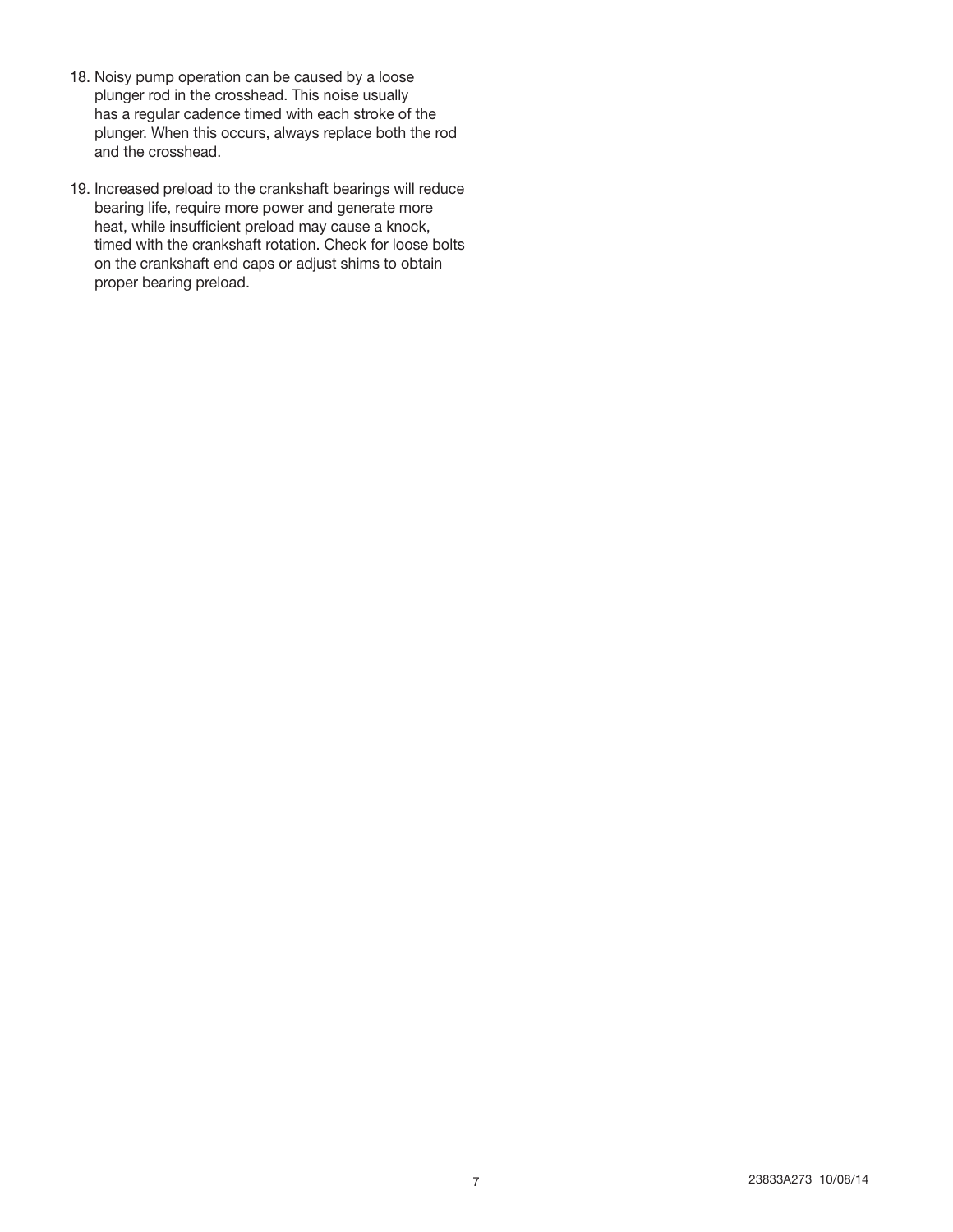- 18. Noisy pump operation can be caused by a loose plunger rod in the crosshead. This noise usually has a regular cadence timed with each stroke of the plunger. When this occurs, always replace both the rod and the crosshead.
- 19. Increased preload to the crankshaft bearings will reduce bearing life, require more power and generate more heat, while insufficient preload may cause a knock, timed with the crankshaft rotation. Check for loose bolts on the crankshaft end caps or adjust shims to obtain proper bearing preload.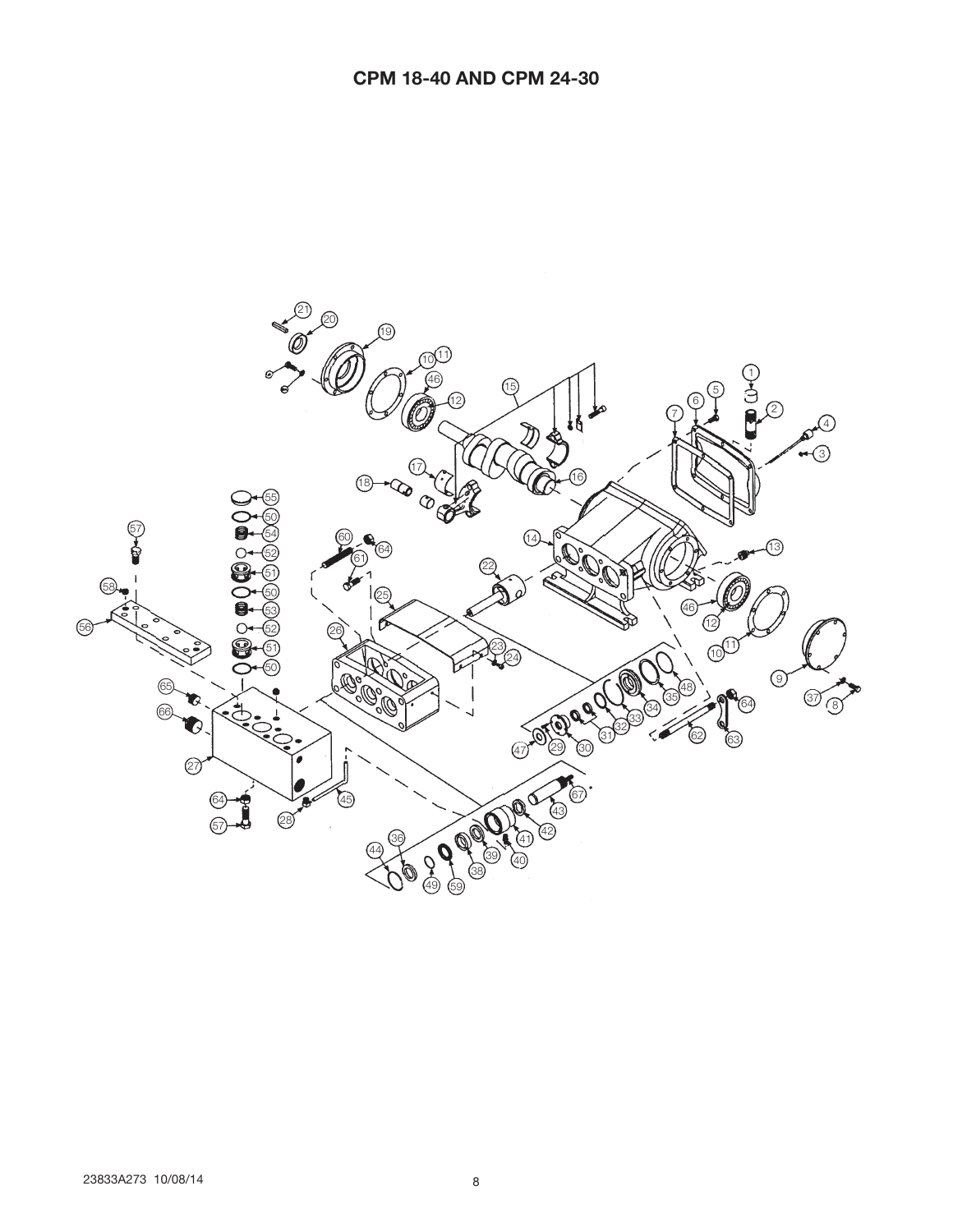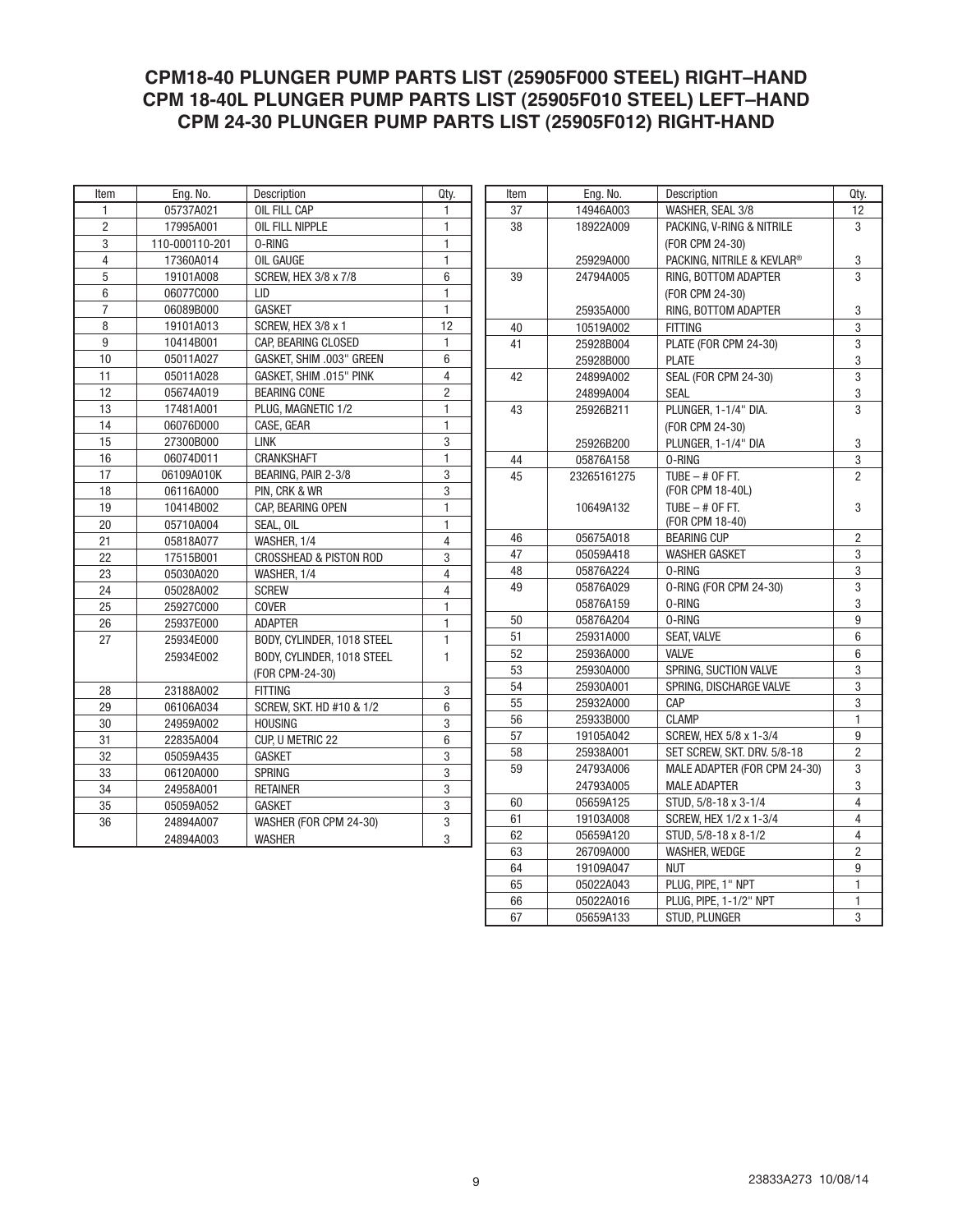## **CPM18-40 PLUNGER PUMP PARTS LIST (25905F000 STEEL) RIGHT–HAND CPM 18-40L PLUNGER PUMP PARTS LIST (25905F010 STEEL) LEFT–HAND CPM 24-30 PLUNGER PUMP PARTS LIST (25905F012) RIGHT-HAND**

| OIL FILL CAP<br>1<br>05737A021<br>1<br>$\overline{\mathbf{c}}$<br>OIL FILL NIPPLE<br>17995A001<br>1<br>3<br>$\mathbf{1}$<br>110-000110-201<br>0-RING<br>$\overline{4}$<br>$\mathbf{1}$<br>17360A014<br>OIL GAUGE<br>5<br>6<br>SCREW, HEX 3/8 x 7/8<br>19101A008<br>6<br>$\mathbf{1}$<br>06077C000<br>LID<br>$\overline{7}$<br>$\mathbf{1}$<br>06089B000<br><b>GASKET</b><br>8<br>19101A013<br>SCREW, HEX 3/8 x 1<br>12<br>9<br>CAP, BEARING CLOSED<br>10414B001<br>1<br>GASKET, SHIM .003" GREEN<br>10<br>6<br>05011A027<br><b>GASKET, SHIM .015" PINK</b><br>11<br>4<br>05011A028<br>$\overline{2}$<br>12<br>05674A019<br><b>BEARING CONE</b><br>$\mathbf{1}$<br>13<br>17481A001<br>PLUG. MAGNETIC 1/2<br>$\mathbf{1}$<br>CASE, GEAR<br>14<br>06076D000<br>3<br><b>LINK</b><br>15<br>27300B000<br>$\mathbf{1}$<br>16<br>06074D011<br><b>CRANKSHAFT</b><br>3<br>17<br>06109A010K<br>BEARING, PAIR 2-3/8<br>3<br>18<br>06116A000<br>PIN, CRK & WR<br>$\mathbf{1}$<br>CAP, BEARING OPEN<br>19<br>10414B002<br>$\mathbf{1}$<br>20<br>05710A004<br>SEAL, OIL<br>4<br>21<br>05818A077<br>WASHER, 1/4<br>22<br><b>CROSSHEAD &amp; PISTON ROD</b><br>3<br>17515B001<br>23<br>WASHER, 1/4<br>4<br>05030A020<br>$\overline{\mathbf{4}}$<br>24<br>05028A002<br><b>SCREW</b><br>$\mathbf{1}$<br>25<br>25927C000<br><b>COVER</b><br>1<br>26<br><b>ADAPTER</b><br>25937E000<br>BODY, CYLINDER, 1018 STEEL<br>$\mathbf{1}$<br>27<br>25934E000<br>BODY, CYLINDER, 1018 STEEL<br>25934E002<br>1<br>(FOR CPM-24-30)<br>28<br><b>FITTING</b><br>3<br>23188A002<br>29<br>06106A034<br>SCREW, SKT. HD #10 & 1/2<br>6<br>3<br>30<br>24959A002<br><b>HOUSING</b><br>31<br>CUP, U METRIC 22<br>6<br>22835A004<br>3<br>32<br><b>GASKET</b><br>05059A435<br>3<br>33<br>06120A000<br><b>SPRING</b><br>3<br>34<br>24958A001<br><b>RETAINER</b><br>3<br>35<br>05059A052<br>GASKET<br>3<br>36<br>24894A007<br>WASHER (FOR CPM 24-30)<br>3<br>24894A003<br><b>WASHER</b> | Item | Eng. No. | Description | Qty. |
|--------------------------------------------------------------------------------------------------------------------------------------------------------------------------------------------------------------------------------------------------------------------------------------------------------------------------------------------------------------------------------------------------------------------------------------------------------------------------------------------------------------------------------------------------------------------------------------------------------------------------------------------------------------------------------------------------------------------------------------------------------------------------------------------------------------------------------------------------------------------------------------------------------------------------------------------------------------------------------------------------------------------------------------------------------------------------------------------------------------------------------------------------------------------------------------------------------------------------------------------------------------------------------------------------------------------------------------------------------------------------------------------------------------------------------------------------------------------------------------------------------------------------------------------------------------------------------------------------------------------------------------------------------------------------------------------------------------------------------------------------------------------------------------------------------------------------------------------------------------------------------------------------------------------------------------------|------|----------|-------------|------|
|                                                                                                                                                                                                                                                                                                                                                                                                                                                                                                                                                                                                                                                                                                                                                                                                                                                                                                                                                                                                                                                                                                                                                                                                                                                                                                                                                                                                                                                                                                                                                                                                                                                                                                                                                                                                                                                                                                                                            |      |          |             |      |
|                                                                                                                                                                                                                                                                                                                                                                                                                                                                                                                                                                                                                                                                                                                                                                                                                                                                                                                                                                                                                                                                                                                                                                                                                                                                                                                                                                                                                                                                                                                                                                                                                                                                                                                                                                                                                                                                                                                                            |      |          |             |      |
|                                                                                                                                                                                                                                                                                                                                                                                                                                                                                                                                                                                                                                                                                                                                                                                                                                                                                                                                                                                                                                                                                                                                                                                                                                                                                                                                                                                                                                                                                                                                                                                                                                                                                                                                                                                                                                                                                                                                            |      |          |             |      |
|                                                                                                                                                                                                                                                                                                                                                                                                                                                                                                                                                                                                                                                                                                                                                                                                                                                                                                                                                                                                                                                                                                                                                                                                                                                                                                                                                                                                                                                                                                                                                                                                                                                                                                                                                                                                                                                                                                                                            |      |          |             |      |
|                                                                                                                                                                                                                                                                                                                                                                                                                                                                                                                                                                                                                                                                                                                                                                                                                                                                                                                                                                                                                                                                                                                                                                                                                                                                                                                                                                                                                                                                                                                                                                                                                                                                                                                                                                                                                                                                                                                                            |      |          |             |      |
|                                                                                                                                                                                                                                                                                                                                                                                                                                                                                                                                                                                                                                                                                                                                                                                                                                                                                                                                                                                                                                                                                                                                                                                                                                                                                                                                                                                                                                                                                                                                                                                                                                                                                                                                                                                                                                                                                                                                            |      |          |             |      |
|                                                                                                                                                                                                                                                                                                                                                                                                                                                                                                                                                                                                                                                                                                                                                                                                                                                                                                                                                                                                                                                                                                                                                                                                                                                                                                                                                                                                                                                                                                                                                                                                                                                                                                                                                                                                                                                                                                                                            |      |          |             |      |
|                                                                                                                                                                                                                                                                                                                                                                                                                                                                                                                                                                                                                                                                                                                                                                                                                                                                                                                                                                                                                                                                                                                                                                                                                                                                                                                                                                                                                                                                                                                                                                                                                                                                                                                                                                                                                                                                                                                                            |      |          |             |      |
|                                                                                                                                                                                                                                                                                                                                                                                                                                                                                                                                                                                                                                                                                                                                                                                                                                                                                                                                                                                                                                                                                                                                                                                                                                                                                                                                                                                                                                                                                                                                                                                                                                                                                                                                                                                                                                                                                                                                            |      |          |             |      |
|                                                                                                                                                                                                                                                                                                                                                                                                                                                                                                                                                                                                                                                                                                                                                                                                                                                                                                                                                                                                                                                                                                                                                                                                                                                                                                                                                                                                                                                                                                                                                                                                                                                                                                                                                                                                                                                                                                                                            |      |          |             |      |
|                                                                                                                                                                                                                                                                                                                                                                                                                                                                                                                                                                                                                                                                                                                                                                                                                                                                                                                                                                                                                                                                                                                                                                                                                                                                                                                                                                                                                                                                                                                                                                                                                                                                                                                                                                                                                                                                                                                                            |      |          |             |      |
|                                                                                                                                                                                                                                                                                                                                                                                                                                                                                                                                                                                                                                                                                                                                                                                                                                                                                                                                                                                                                                                                                                                                                                                                                                                                                                                                                                                                                                                                                                                                                                                                                                                                                                                                                                                                                                                                                                                                            |      |          |             |      |
|                                                                                                                                                                                                                                                                                                                                                                                                                                                                                                                                                                                                                                                                                                                                                                                                                                                                                                                                                                                                                                                                                                                                                                                                                                                                                                                                                                                                                                                                                                                                                                                                                                                                                                                                                                                                                                                                                                                                            |      |          |             |      |
|                                                                                                                                                                                                                                                                                                                                                                                                                                                                                                                                                                                                                                                                                                                                                                                                                                                                                                                                                                                                                                                                                                                                                                                                                                                                                                                                                                                                                                                                                                                                                                                                                                                                                                                                                                                                                                                                                                                                            |      |          |             |      |
|                                                                                                                                                                                                                                                                                                                                                                                                                                                                                                                                                                                                                                                                                                                                                                                                                                                                                                                                                                                                                                                                                                                                                                                                                                                                                                                                                                                                                                                                                                                                                                                                                                                                                                                                                                                                                                                                                                                                            |      |          |             |      |
|                                                                                                                                                                                                                                                                                                                                                                                                                                                                                                                                                                                                                                                                                                                                                                                                                                                                                                                                                                                                                                                                                                                                                                                                                                                                                                                                                                                                                                                                                                                                                                                                                                                                                                                                                                                                                                                                                                                                            |      |          |             |      |
|                                                                                                                                                                                                                                                                                                                                                                                                                                                                                                                                                                                                                                                                                                                                                                                                                                                                                                                                                                                                                                                                                                                                                                                                                                                                                                                                                                                                                                                                                                                                                                                                                                                                                                                                                                                                                                                                                                                                            |      |          |             |      |
|                                                                                                                                                                                                                                                                                                                                                                                                                                                                                                                                                                                                                                                                                                                                                                                                                                                                                                                                                                                                                                                                                                                                                                                                                                                                                                                                                                                                                                                                                                                                                                                                                                                                                                                                                                                                                                                                                                                                            |      |          |             |      |
|                                                                                                                                                                                                                                                                                                                                                                                                                                                                                                                                                                                                                                                                                                                                                                                                                                                                                                                                                                                                                                                                                                                                                                                                                                                                                                                                                                                                                                                                                                                                                                                                                                                                                                                                                                                                                                                                                                                                            |      |          |             |      |
|                                                                                                                                                                                                                                                                                                                                                                                                                                                                                                                                                                                                                                                                                                                                                                                                                                                                                                                                                                                                                                                                                                                                                                                                                                                                                                                                                                                                                                                                                                                                                                                                                                                                                                                                                                                                                                                                                                                                            |      |          |             |      |
|                                                                                                                                                                                                                                                                                                                                                                                                                                                                                                                                                                                                                                                                                                                                                                                                                                                                                                                                                                                                                                                                                                                                                                                                                                                                                                                                                                                                                                                                                                                                                                                                                                                                                                                                                                                                                                                                                                                                            |      |          |             |      |
|                                                                                                                                                                                                                                                                                                                                                                                                                                                                                                                                                                                                                                                                                                                                                                                                                                                                                                                                                                                                                                                                                                                                                                                                                                                                                                                                                                                                                                                                                                                                                                                                                                                                                                                                                                                                                                                                                                                                            |      |          |             |      |
|                                                                                                                                                                                                                                                                                                                                                                                                                                                                                                                                                                                                                                                                                                                                                                                                                                                                                                                                                                                                                                                                                                                                                                                                                                                                                                                                                                                                                                                                                                                                                                                                                                                                                                                                                                                                                                                                                                                                            |      |          |             |      |
|                                                                                                                                                                                                                                                                                                                                                                                                                                                                                                                                                                                                                                                                                                                                                                                                                                                                                                                                                                                                                                                                                                                                                                                                                                                                                                                                                                                                                                                                                                                                                                                                                                                                                                                                                                                                                                                                                                                                            |      |          |             |      |
|                                                                                                                                                                                                                                                                                                                                                                                                                                                                                                                                                                                                                                                                                                                                                                                                                                                                                                                                                                                                                                                                                                                                                                                                                                                                                                                                                                                                                                                                                                                                                                                                                                                                                                                                                                                                                                                                                                                                            |      |          |             |      |
|                                                                                                                                                                                                                                                                                                                                                                                                                                                                                                                                                                                                                                                                                                                                                                                                                                                                                                                                                                                                                                                                                                                                                                                                                                                                                                                                                                                                                                                                                                                                                                                                                                                                                                                                                                                                                                                                                                                                            |      |          |             |      |
|                                                                                                                                                                                                                                                                                                                                                                                                                                                                                                                                                                                                                                                                                                                                                                                                                                                                                                                                                                                                                                                                                                                                                                                                                                                                                                                                                                                                                                                                                                                                                                                                                                                                                                                                                                                                                                                                                                                                            |      |          |             |      |
|                                                                                                                                                                                                                                                                                                                                                                                                                                                                                                                                                                                                                                                                                                                                                                                                                                                                                                                                                                                                                                                                                                                                                                                                                                                                                                                                                                                                                                                                                                                                                                                                                                                                                                                                                                                                                                                                                                                                            |      |          |             |      |
|                                                                                                                                                                                                                                                                                                                                                                                                                                                                                                                                                                                                                                                                                                                                                                                                                                                                                                                                                                                                                                                                                                                                                                                                                                                                                                                                                                                                                                                                                                                                                                                                                                                                                                                                                                                                                                                                                                                                            |      |          |             |      |
|                                                                                                                                                                                                                                                                                                                                                                                                                                                                                                                                                                                                                                                                                                                                                                                                                                                                                                                                                                                                                                                                                                                                                                                                                                                                                                                                                                                                                                                                                                                                                                                                                                                                                                                                                                                                                                                                                                                                            |      |          |             |      |
|                                                                                                                                                                                                                                                                                                                                                                                                                                                                                                                                                                                                                                                                                                                                                                                                                                                                                                                                                                                                                                                                                                                                                                                                                                                                                                                                                                                                                                                                                                                                                                                                                                                                                                                                                                                                                                                                                                                                            |      |          |             |      |
|                                                                                                                                                                                                                                                                                                                                                                                                                                                                                                                                                                                                                                                                                                                                                                                                                                                                                                                                                                                                                                                                                                                                                                                                                                                                                                                                                                                                                                                                                                                                                                                                                                                                                                                                                                                                                                                                                                                                            |      |          |             |      |
|                                                                                                                                                                                                                                                                                                                                                                                                                                                                                                                                                                                                                                                                                                                                                                                                                                                                                                                                                                                                                                                                                                                                                                                                                                                                                                                                                                                                                                                                                                                                                                                                                                                                                                                                                                                                                                                                                                                                            |      |          |             |      |
|                                                                                                                                                                                                                                                                                                                                                                                                                                                                                                                                                                                                                                                                                                                                                                                                                                                                                                                                                                                                                                                                                                                                                                                                                                                                                                                                                                                                                                                                                                                                                                                                                                                                                                                                                                                                                                                                                                                                            |      |          |             |      |
|                                                                                                                                                                                                                                                                                                                                                                                                                                                                                                                                                                                                                                                                                                                                                                                                                                                                                                                                                                                                                                                                                                                                                                                                                                                                                                                                                                                                                                                                                                                                                                                                                                                                                                                                                                                                                                                                                                                                            |      |          |             |      |
|                                                                                                                                                                                                                                                                                                                                                                                                                                                                                                                                                                                                                                                                                                                                                                                                                                                                                                                                                                                                                                                                                                                                                                                                                                                                                                                                                                                                                                                                                                                                                                                                                                                                                                                                                                                                                                                                                                                                            |      |          |             |      |
|                                                                                                                                                                                                                                                                                                                                                                                                                                                                                                                                                                                                                                                                                                                                                                                                                                                                                                                                                                                                                                                                                                                                                                                                                                                                                                                                                                                                                                                                                                                                                                                                                                                                                                                                                                                                                                                                                                                                            |      |          |             |      |
|                                                                                                                                                                                                                                                                                                                                                                                                                                                                                                                                                                                                                                                                                                                                                                                                                                                                                                                                                                                                                                                                                                                                                                                                                                                                                                                                                                                                                                                                                                                                                                                                                                                                                                                                                                                                                                                                                                                                            |      |          |             |      |
|                                                                                                                                                                                                                                                                                                                                                                                                                                                                                                                                                                                                                                                                                                                                                                                                                                                                                                                                                                                                                                                                                                                                                                                                                                                                                                                                                                                                                                                                                                                                                                                                                                                                                                                                                                                                                                                                                                                                            |      |          |             |      |

| 37<br>WASHER, SEAL 3/8<br>14946A003<br>12<br>38<br>18922A009<br>PACKING, V-RING & NITRILE<br>3<br>(FOR CPM 24-30)<br>PACKING, NITRILE & KEVLAR®<br>3<br>25929A000<br>39<br>3<br>24794A005<br>RING, BOTTOM ADAPTER<br>(FOR CPM 24-30)<br>RING, BOTTOM ADAPTER<br>3<br>25935A000<br>3<br>40<br>FITTING<br>10519A002<br>PLATE (FOR CPM 24-30)<br>3<br>41<br>25928B004<br>3<br>25928B000<br><b>PLATE</b><br><b>SEAL (FOR CPM 24-30)</b><br>3<br>42<br>24899A002<br>3<br><b>SEAL</b><br>24899A004<br>PLUNGER, 1-1/4" DIA.<br>43<br>3<br>25926B211<br>(FOR CPM 24-30)<br>PLUNGER, 1-1/4" DIA<br>3<br>25926B200<br>3<br>0-RING<br>44<br>05876A158<br>TUBE $-$ # OF FT.<br>45<br>2<br>23265161275<br>(FOR CPM 18-40L)<br>TUBE $-$ # OF FT.<br>3<br>10649A132<br>(FOR CPM 18-40)<br>46<br>$\overline{2}$<br>05675A018<br><b>BEARING CUP</b><br>47<br>05059A418<br><b>WASHER GASKET</b><br>3<br>3<br>48<br>0-RING<br>05876A224<br>3<br>49<br>0-RING (FOR CPM 24-30)<br>05876A029<br>3<br>05876A159<br>0-RING<br>9<br>50<br>05876A204<br>0-RING<br>51<br>25931A000<br><b>SEAT. VALVE</b><br>6<br>52<br>25936A000<br><b>VALVE</b><br>6<br>3<br>53<br>SPRING, SUCTION VALVE<br>25930A000<br>54<br>SPRING. DISCHARGE VALVE<br>3<br>25930A001<br>CAP<br>3<br>55<br>25932A000 | Item | Eng. No. | Description | Qty. |
|---------------------------------------------------------------------------------------------------------------------------------------------------------------------------------------------------------------------------------------------------------------------------------------------------------------------------------------------------------------------------------------------------------------------------------------------------------------------------------------------------------------------------------------------------------------------------------------------------------------------------------------------------------------------------------------------------------------------------------------------------------------------------------------------------------------------------------------------------------------------------------------------------------------------------------------------------------------------------------------------------------------------------------------------------------------------------------------------------------------------------------------------------------------------------------------------------------------------------------------------------------------|------|----------|-------------|------|
|                                                                                                                                                                                                                                                                                                                                                                                                                                                                                                                                                                                                                                                                                                                                                                                                                                                                                                                                                                                                                                                                                                                                                                                                                                                               |      |          |             |      |
|                                                                                                                                                                                                                                                                                                                                                                                                                                                                                                                                                                                                                                                                                                                                                                                                                                                                                                                                                                                                                                                                                                                                                                                                                                                               |      |          |             |      |
|                                                                                                                                                                                                                                                                                                                                                                                                                                                                                                                                                                                                                                                                                                                                                                                                                                                                                                                                                                                                                                                                                                                                                                                                                                                               |      |          |             |      |
|                                                                                                                                                                                                                                                                                                                                                                                                                                                                                                                                                                                                                                                                                                                                                                                                                                                                                                                                                                                                                                                                                                                                                                                                                                                               |      |          |             |      |
|                                                                                                                                                                                                                                                                                                                                                                                                                                                                                                                                                                                                                                                                                                                                                                                                                                                                                                                                                                                                                                                                                                                                                                                                                                                               |      |          |             |      |
|                                                                                                                                                                                                                                                                                                                                                                                                                                                                                                                                                                                                                                                                                                                                                                                                                                                                                                                                                                                                                                                                                                                                                                                                                                                               |      |          |             |      |
|                                                                                                                                                                                                                                                                                                                                                                                                                                                                                                                                                                                                                                                                                                                                                                                                                                                                                                                                                                                                                                                                                                                                                                                                                                                               |      |          |             |      |
|                                                                                                                                                                                                                                                                                                                                                                                                                                                                                                                                                                                                                                                                                                                                                                                                                                                                                                                                                                                                                                                                                                                                                                                                                                                               |      |          |             |      |
|                                                                                                                                                                                                                                                                                                                                                                                                                                                                                                                                                                                                                                                                                                                                                                                                                                                                                                                                                                                                                                                                                                                                                                                                                                                               |      |          |             |      |
|                                                                                                                                                                                                                                                                                                                                                                                                                                                                                                                                                                                                                                                                                                                                                                                                                                                                                                                                                                                                                                                                                                                                                                                                                                                               |      |          |             |      |
|                                                                                                                                                                                                                                                                                                                                                                                                                                                                                                                                                                                                                                                                                                                                                                                                                                                                                                                                                                                                                                                                                                                                                                                                                                                               |      |          |             |      |
|                                                                                                                                                                                                                                                                                                                                                                                                                                                                                                                                                                                                                                                                                                                                                                                                                                                                                                                                                                                                                                                                                                                                                                                                                                                               |      |          |             |      |
|                                                                                                                                                                                                                                                                                                                                                                                                                                                                                                                                                                                                                                                                                                                                                                                                                                                                                                                                                                                                                                                                                                                                                                                                                                                               |      |          |             |      |
|                                                                                                                                                                                                                                                                                                                                                                                                                                                                                                                                                                                                                                                                                                                                                                                                                                                                                                                                                                                                                                                                                                                                                                                                                                                               |      |          |             |      |
|                                                                                                                                                                                                                                                                                                                                                                                                                                                                                                                                                                                                                                                                                                                                                                                                                                                                                                                                                                                                                                                                                                                                                                                                                                                               |      |          |             |      |
|                                                                                                                                                                                                                                                                                                                                                                                                                                                                                                                                                                                                                                                                                                                                                                                                                                                                                                                                                                                                                                                                                                                                                                                                                                                               |      |          |             |      |
|                                                                                                                                                                                                                                                                                                                                                                                                                                                                                                                                                                                                                                                                                                                                                                                                                                                                                                                                                                                                                                                                                                                                                                                                                                                               |      |          |             |      |
|                                                                                                                                                                                                                                                                                                                                                                                                                                                                                                                                                                                                                                                                                                                                                                                                                                                                                                                                                                                                                                                                                                                                                                                                                                                               |      |          |             |      |
|                                                                                                                                                                                                                                                                                                                                                                                                                                                                                                                                                                                                                                                                                                                                                                                                                                                                                                                                                                                                                                                                                                                                                                                                                                                               |      |          |             |      |
|                                                                                                                                                                                                                                                                                                                                                                                                                                                                                                                                                                                                                                                                                                                                                                                                                                                                                                                                                                                                                                                                                                                                                                                                                                                               |      |          |             |      |
|                                                                                                                                                                                                                                                                                                                                                                                                                                                                                                                                                                                                                                                                                                                                                                                                                                                                                                                                                                                                                                                                                                                                                                                                                                                               |      |          |             |      |
|                                                                                                                                                                                                                                                                                                                                                                                                                                                                                                                                                                                                                                                                                                                                                                                                                                                                                                                                                                                                                                                                                                                                                                                                                                                               |      |          |             |      |
|                                                                                                                                                                                                                                                                                                                                                                                                                                                                                                                                                                                                                                                                                                                                                                                                                                                                                                                                                                                                                                                                                                                                                                                                                                                               |      |          |             |      |
|                                                                                                                                                                                                                                                                                                                                                                                                                                                                                                                                                                                                                                                                                                                                                                                                                                                                                                                                                                                                                                                                                                                                                                                                                                                               |      |          |             |      |
|                                                                                                                                                                                                                                                                                                                                                                                                                                                                                                                                                                                                                                                                                                                                                                                                                                                                                                                                                                                                                                                                                                                                                                                                                                                               |      |          |             |      |
|                                                                                                                                                                                                                                                                                                                                                                                                                                                                                                                                                                                                                                                                                                                                                                                                                                                                                                                                                                                                                                                                                                                                                                                                                                                               |      |          |             |      |
|                                                                                                                                                                                                                                                                                                                                                                                                                                                                                                                                                                                                                                                                                                                                                                                                                                                                                                                                                                                                                                                                                                                                                                                                                                                               |      |          |             |      |
|                                                                                                                                                                                                                                                                                                                                                                                                                                                                                                                                                                                                                                                                                                                                                                                                                                                                                                                                                                                                                                                                                                                                                                                                                                                               |      |          |             |      |
|                                                                                                                                                                                                                                                                                                                                                                                                                                                                                                                                                                                                                                                                                                                                                                                                                                                                                                                                                                                                                                                                                                                                                                                                                                                               |      |          |             |      |
|                                                                                                                                                                                                                                                                                                                                                                                                                                                                                                                                                                                                                                                                                                                                                                                                                                                                                                                                                                                                                                                                                                                                                                                                                                                               |      |          |             |      |
| $\mathbf{1}$<br>CLAMP                                                                                                                                                                                                                                                                                                                                                                                                                                                                                                                                                                                                                                                                                                                                                                                                                                                                                                                                                                                                                                                                                                                                                                                                                                         |      |          |             |      |
| 56<br>25933B000<br>9<br>57<br>SCREW, HEX 5/8 x 1-3/4                                                                                                                                                                                                                                                                                                                                                                                                                                                                                                                                                                                                                                                                                                                                                                                                                                                                                                                                                                                                                                                                                                                                                                                                          |      |          |             |      |
| 19105A042<br>58<br>25938A001<br>SET SCREW, SKT. DRV. 5/8-18<br>2                                                                                                                                                                                                                                                                                                                                                                                                                                                                                                                                                                                                                                                                                                                                                                                                                                                                                                                                                                                                                                                                                                                                                                                              |      |          |             |      |
| 59<br>3<br>24793A006<br>MALE ADAPTER (FOR CPM 24-30)                                                                                                                                                                                                                                                                                                                                                                                                                                                                                                                                                                                                                                                                                                                                                                                                                                                                                                                                                                                                                                                                                                                                                                                                          |      |          |             |      |
| 3<br><b>MALE ADAPTER</b><br>24793A005                                                                                                                                                                                                                                                                                                                                                                                                                                                                                                                                                                                                                                                                                                                                                                                                                                                                                                                                                                                                                                                                                                                                                                                                                         |      |          |             |      |
| STUD, 5/8-18 x 3-1/4<br>60<br>05659A125<br>4                                                                                                                                                                                                                                                                                                                                                                                                                                                                                                                                                                                                                                                                                                                                                                                                                                                                                                                                                                                                                                                                                                                                                                                                                  |      |          |             |      |
| 4<br>61<br>SCREW, HEX 1/2 x 1-3/4<br>19103A008                                                                                                                                                                                                                                                                                                                                                                                                                                                                                                                                                                                                                                                                                                                                                                                                                                                                                                                                                                                                                                                                                                                                                                                                                |      |          |             |      |
| 62<br>4<br>05659A120<br>STUD, 5/8-18 x 8-1/2                                                                                                                                                                                                                                                                                                                                                                                                                                                                                                                                                                                                                                                                                                                                                                                                                                                                                                                                                                                                                                                                                                                                                                                                                  |      |          |             |      |
| WASHER, WEDGE<br>63<br>26709A000<br>2                                                                                                                                                                                                                                                                                                                                                                                                                                                                                                                                                                                                                                                                                                                                                                                                                                                                                                                                                                                                                                                                                                                                                                                                                         |      |          |             |      |
| 64<br>9<br>19109A047<br><b>NUT</b>                                                                                                                                                                                                                                                                                                                                                                                                                                                                                                                                                                                                                                                                                                                                                                                                                                                                                                                                                                                                                                                                                                                                                                                                                            |      |          |             |      |
| 65<br>PLUG, PIPE, 1" NPT<br>1<br>05022A043                                                                                                                                                                                                                                                                                                                                                                                                                                                                                                                                                                                                                                                                                                                                                                                                                                                                                                                                                                                                                                                                                                                                                                                                                    |      |          |             |      |
| 05022A016<br>PLUG, PIPE, 1-1/2" NPT<br>66<br>1                                                                                                                                                                                                                                                                                                                                                                                                                                                                                                                                                                                                                                                                                                                                                                                                                                                                                                                                                                                                                                                                                                                                                                                                                |      |          |             |      |
| 3<br>67<br>STUD, PLUNGER<br>05659A133                                                                                                                                                                                                                                                                                                                                                                                                                                                                                                                                                                                                                                                                                                                                                                                                                                                                                                                                                                                                                                                                                                                                                                                                                         |      |          |             |      |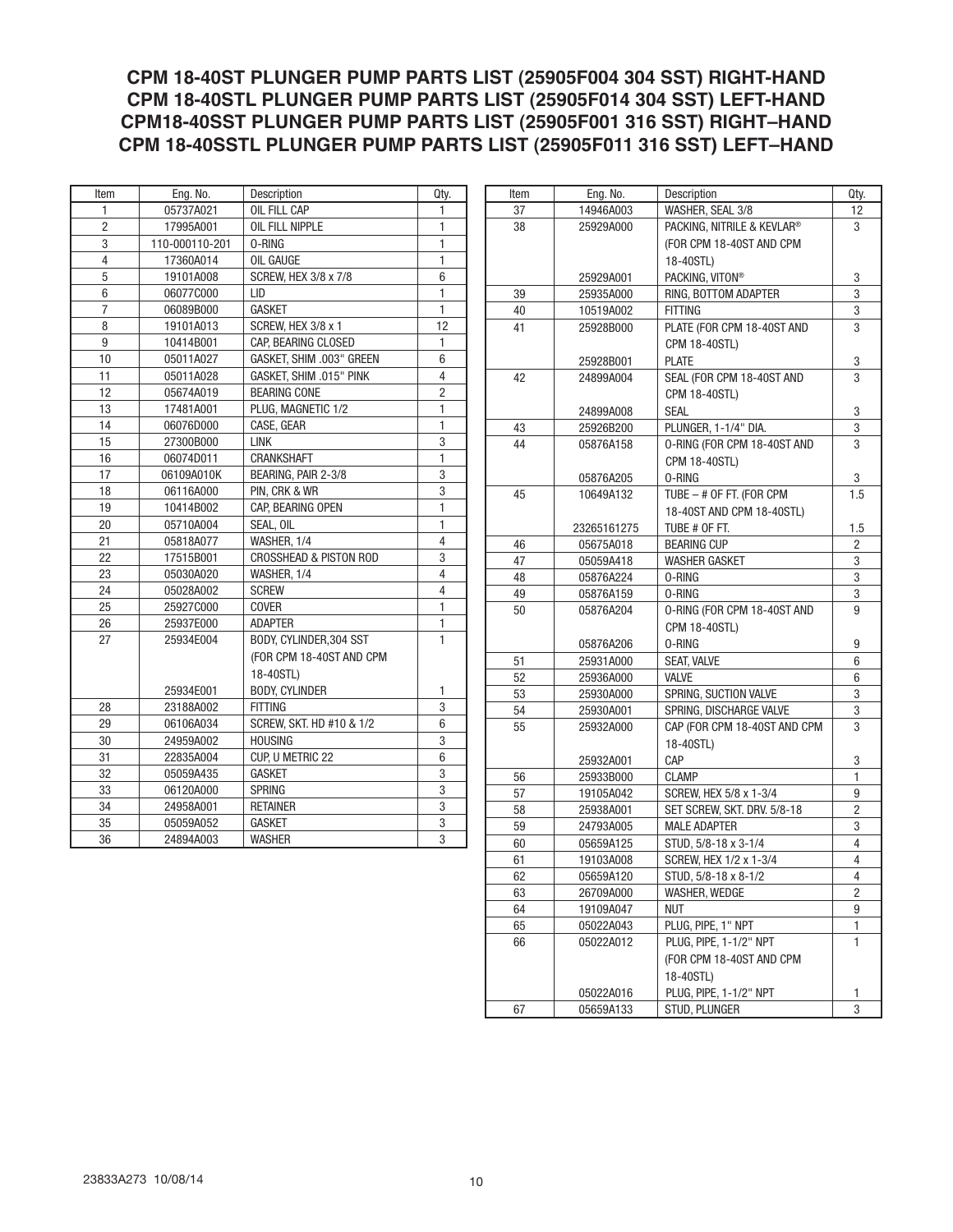**CPM 18-40ST PLUNGER PUMP PARTS LIST (25905F004 304 SST) RIGHT-HAND CPM 18-40STL PLUNGER PUMP PARTS LIST (25905F014 304 SST) LEFT-HAND CPM18-40SST PLUNGER PUMP PARTS LIST (25905F001 316 SST) RIGHT–HAND CPM 18-40SSTL PLUNGER PUMP PARTS LIST (25905F011 316 SST) LEFT–HAND**

| Item           | Eng. No.       | Description                       | Qty.           |
|----------------|----------------|-----------------------------------|----------------|
| 1              | 05737A021      | OIL FILL CAP                      | 1              |
| $\overline{c}$ | 17995A001      | OIL FILL NIPPLE                   | $\mathbf{1}$   |
| 3              | 110-000110-201 | 0-RING                            | $\mathbf{1}$   |
| 4              | 17360A014      | OIL GAUGE                         | 1              |
| 5              | 19101A008      | SCREW, HEX 3/8 x 7/8              | 6              |
| 6              | 06077C000      | LID                               | 1              |
| $\overline{7}$ | 06089B000      | GASKET                            | $\mathbf{1}$   |
| 8              | 19101A013      | SCREW, HEX 3/8 x 1                | 12             |
| 9              | 10414B001      | CAP, BEARING CLOSED               | 1              |
| 10             | 05011A027      | GASKET, SHIM .003" GREEN          | 6              |
| 11             | 05011A028      | GASKET, SHIM .015" PINK           | 4              |
| 12             | 05674A019      | <b>BEARING CONE</b>               | $\overline{2}$ |
| 13             | 17481A001      | PLUG, MAGNETIC 1/2                | $\mathbf{1}$   |
| 14             | 06076D000      | CASE, GEAR                        | $\mathbf{1}$   |
| 15             | 27300B000      | <b>LINK</b>                       | $\overline{3}$ |
| 16             | 06074D011      | CRANKSHAFT                        | $\mathbf{1}$   |
| 17             | 06109A010K     | BEARING, PAIR 2-3/8               | 3              |
| 18             | 06116A000      | PIN, CRK & WR                     | 3              |
| 19             | 10414B002      | CAP, BEARING OPEN                 | $\mathbf{1}$   |
| 20             | 05710A004      | SEAL, OIL                         | $\mathbf{1}$   |
| 21             | 05818A077      | WASHER, 1/4                       | 4              |
| 22             | 17515B001      | <b>CROSSHEAD &amp; PISTON ROD</b> | 3              |
| 23             | 05030A020      | WASHER, 1/4                       | 4              |
| 24             | 05028A002      | <b>SCREW</b>                      | 4              |
| 25             | 25927C000      | <b>COVER</b>                      | $\mathbf{1}$   |
| 26             | 25937E000      | <b>ADAPTER</b>                    | 1              |
| 27             | 25934E004      | BODY, CYLINDER, 304 SST           | 1              |
|                |                | (FOR CPM 18-40ST AND CPM          |                |
|                |                | 18-40STL)                         |                |
|                | 25934E001      | <b>BODY, CYLINDER</b>             | $\mathbf{1}$   |
| 28             | 23188A002      | <b>FITTING</b>                    | 3              |
| 29             | 06106A034      | SCREW, SKT. HD #10 & 1/2          | 6              |
| 30             | 24959A002      | HOUSING                           | 3              |
| 31             | 22835A004      | CUP, U METRIC 22                  | 6              |
| 32             | 05059A435      | GASKET                            | 3              |
| 33             | 06120A000      | <b>SPRING</b>                     | $\overline{3}$ |
| 34             | 24958A001      | <b>RETAINER</b>                   | 3              |
| 35             | 05059A052      | <b>GASKET</b>                     | 3              |
| 36             | 24894A003      | <b>WASHER</b>                     | 3              |

| Item | Eng. No.    | Description                  | Qty. |
|------|-------------|------------------------------|------|
| 37   | 14946A003   | WASHER, SEAL 3/8             | 12   |
| 38   | 25929A000   | PACKING, NITRILE & KEVLAR®   | 3    |
|      |             | (FOR CPM 18-40ST AND CPM     |      |
|      |             | 18-40STL)                    |      |
|      | 25929A001   | PACKING, VITON®              | 3    |
| 39   | 25935A000   | RING, BOTTOM ADAPTER         | 3    |
| 40   | 10519A002   | fitting                      | 3    |
| 41   | 25928B000   | PLATE (FOR CPM 18-40ST AND   | 3    |
|      |             | <b>CPM 18-40STL)</b>         |      |
|      | 25928B001   | <b>PLATE</b>                 | 3    |
| 42   | 24899A004   | SEAL (FOR CPM 18-40ST AND    | 3    |
|      |             | <b>CPM 18-40STL)</b>         |      |
|      | 24899A008   | <b>SEAL</b>                  | 3    |
| 43   | 25926B200   | PLUNGER, 1-1/4" DIA.         | 3    |
| 44   | 05876A158   | O-RING (FOR CPM 18-40ST AND  | 3    |
|      |             | <b>CPM 18-40STL)</b>         |      |
|      | 05876A205   | 0-RING                       | 3    |
| 45   | 10649A132   | TUBE $-$ # OF FT. (FOR CPM   | 1.5  |
|      |             | 18-40ST AND CPM 18-40STL)    |      |
|      | 23265161275 | TUBE # OF FT.                | 1.5  |
| 46   | 05675A018   | <b>BEARING CUP</b>           | 2    |
| 47   | 05059A418   | <b>WASHER GASKET</b>         | 3    |
| 48   | 05876A224   | 0-RING                       | 3    |
| 49   | 05876A159   | 0-RING                       | 3    |
| 50   | 05876A204   | O-RING (FOR CPM 18-40ST AND  | 9    |
|      |             | <b>CPM 18-40STL)</b>         |      |
|      | 05876A206   | 0-RING                       | 9    |
| 51   | 25931A000   | <b>SEAT, VALVE</b>           | 6    |
| 52   | 25936A000   | <b>VALVE</b>                 | 6    |
| 53   | 25930A000   | SPRING, SUCTION VALVE        | 3    |
| 54   | 25930A001   | SPRING, DISCHARGE VALVE      | 3    |
| 55   | 25932A000   | CAP (FOR CPM 18-40ST AND CPM | 3    |
|      |             | 18-40STL)                    |      |
|      | 25932A001   | CAP                          | 3    |
| 56   | 25933B000   | CLAMP                        | 1    |
| 57   | 19105A042   | SCREW, HEX 5/8 x 1-3/4       | 9    |
| 58   | 25938A001   | SET SCREW, SKT. DRV. 5/8-18  | 2    |
| 59   | 24793A005   | <b>MALE ADAPTER</b>          | 3    |
| 60   | 05659A125   | STUD, 5/8-18 x 3-1/4         | 4    |
| 61   | 19103A008   | SCREW, HEX 1/2 x 1-3/4       | 4    |
| 62   | 05659A120   | STUD, 5/8-18 x 8-1/2         | 4    |
| 63   | 26709A000   | WASHER, WEDGE                | 2    |
| 64   | 19109A047   | nut                          | 9    |
| 65   | 05022A043   | PLUG, PIPE, 1" NPT           | 1    |
| 66   | 05022A012   | PLUG, PIPE, 1-1/2" NPT       | 1    |
|      |             | (FOR CPM 18-40ST AND CPM     |      |
|      |             | 18-40STL)                    |      |
|      | 05022A016   | PLUG, PIPE, 1-1/2" NPT       | 1    |
| 67   | 05659A133   | STUD, PLUNGER                | 3    |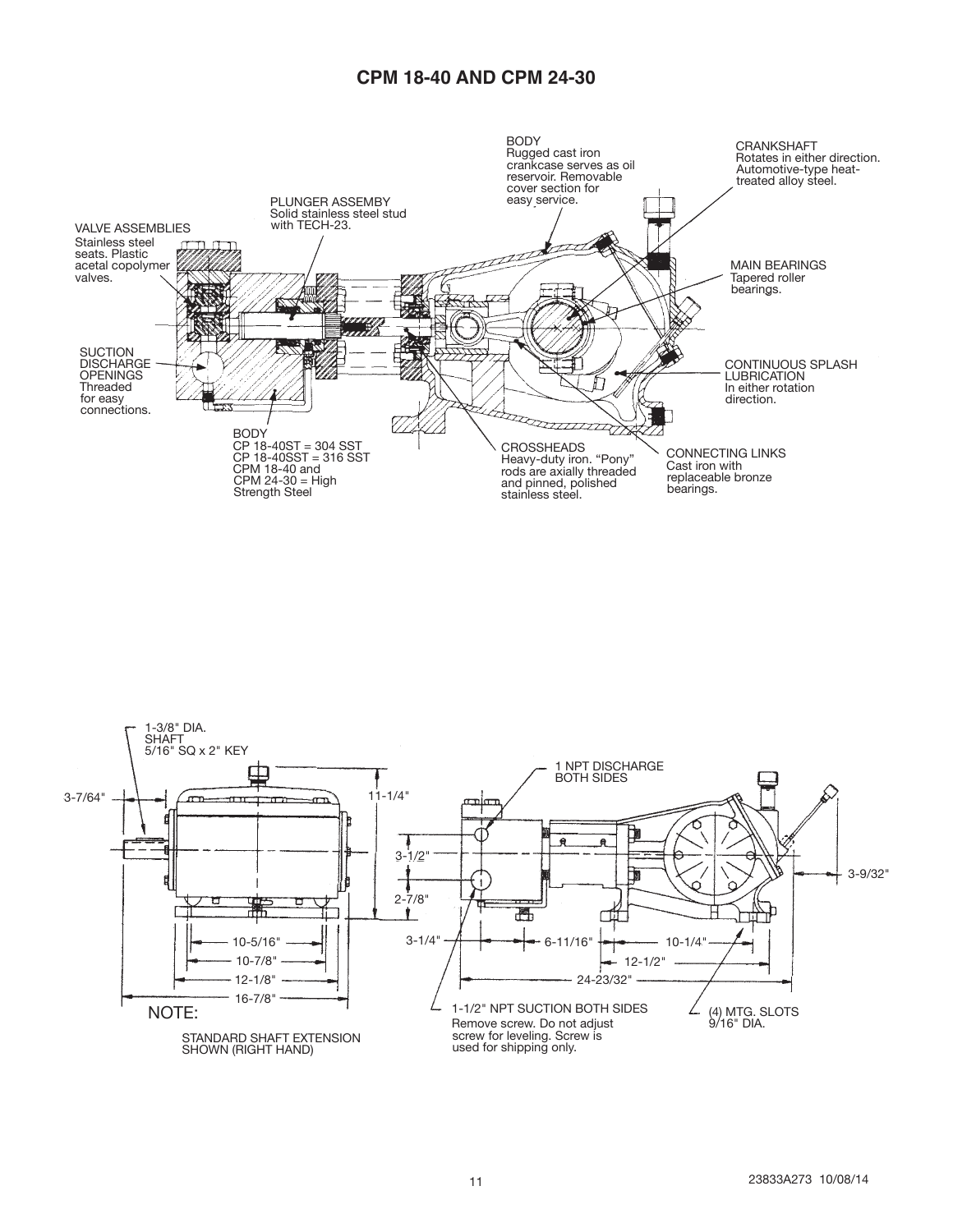## **CPM 18-40 AND CPM 24-30**